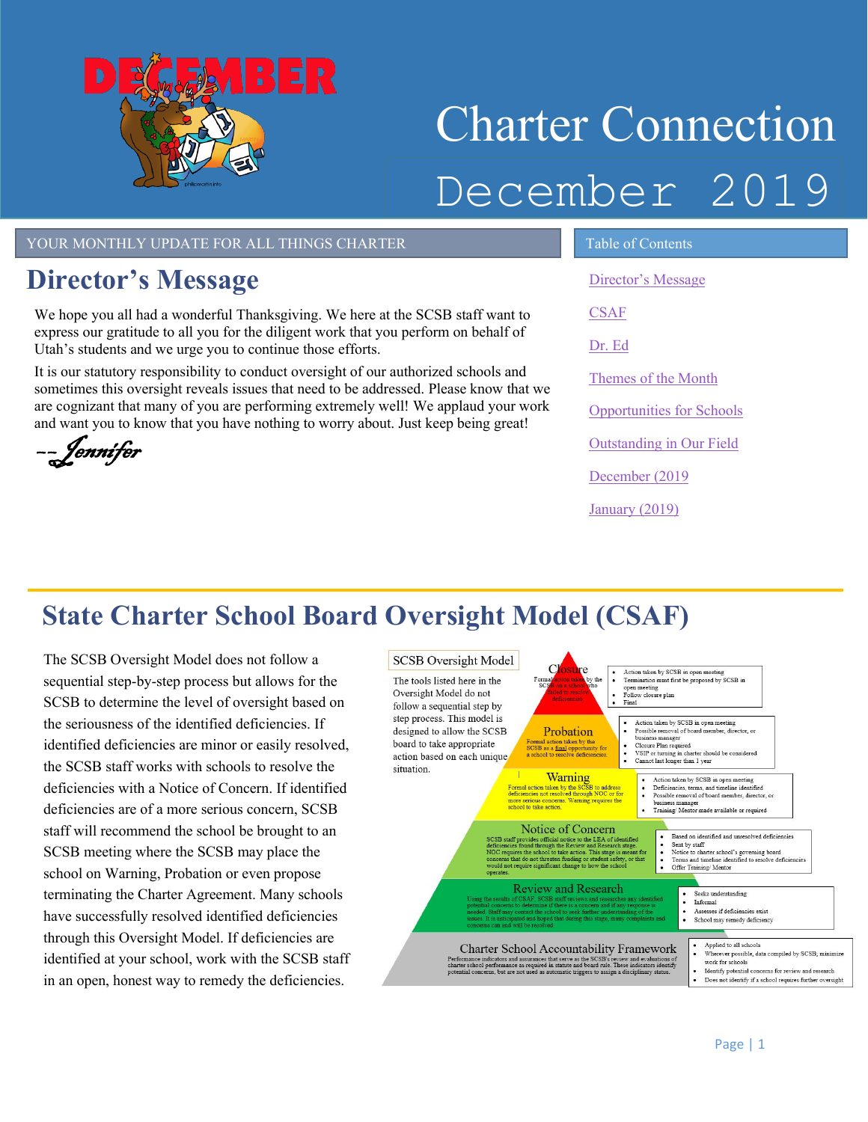

# Charter Connection December 2019

#### YOUR MONTHLY UPDATE FOR ALL THINGS CHARTER TABLE OF Contents

## <span id="page-0-0"></span>**Director's Message**

We hope you all had a wonderful Thanksgiving. We here at the SCSB staff want to express our gratitude to all you for the diligent work that you perform on behalf of Utah's students and we urge you to continue those efforts.

It is our statutory responsibility to conduct oversight of our authorized schools and sometimes this oversight reveals issues that need to be addressed. Please know that we are cognizant that many of you are performing extremely well! We applaud your work and want you to know that you have nothing to worry about. Just keep being great!

––Jennifer

[Director's Message](#page-0-0)

**[CSAF](#page-0-1)** 

[Dr. Ed](#page-1-0)

Themes of the Month

[Opportunities for Schools](#page-2-0) 

[Outstanding in Our Field](#page-2-1)

[December \(2019](#page-3-0)

[January \(2019\)](#page-3-0)

# <span id="page-0-1"></span>**State Charter School Board Oversight Model (CSAF)**

The SCSB Oversight Model does not follow a sequential step-by-step process but allows for the SCSB to determine the level of oversight based on the seriousness of the identified deficiencies. If identified deficiencies are minor or easily resolved, the SCSB staff works with schools to resolve the deficiencies with a Notice of Concern. If identified deficiencies are of a more serious concern, SCSB staff will recommend the school be brought to an SCSB meeting where the SCSB may place the school on Warning, Probation or even propose terminating the Charter Agreement. Many schools have successfully resolved identified deficiencies through this Oversight Model. If deficiencies are identified at your school, work with the SCSB staff in an open, honest way to remedy the deficiencies.

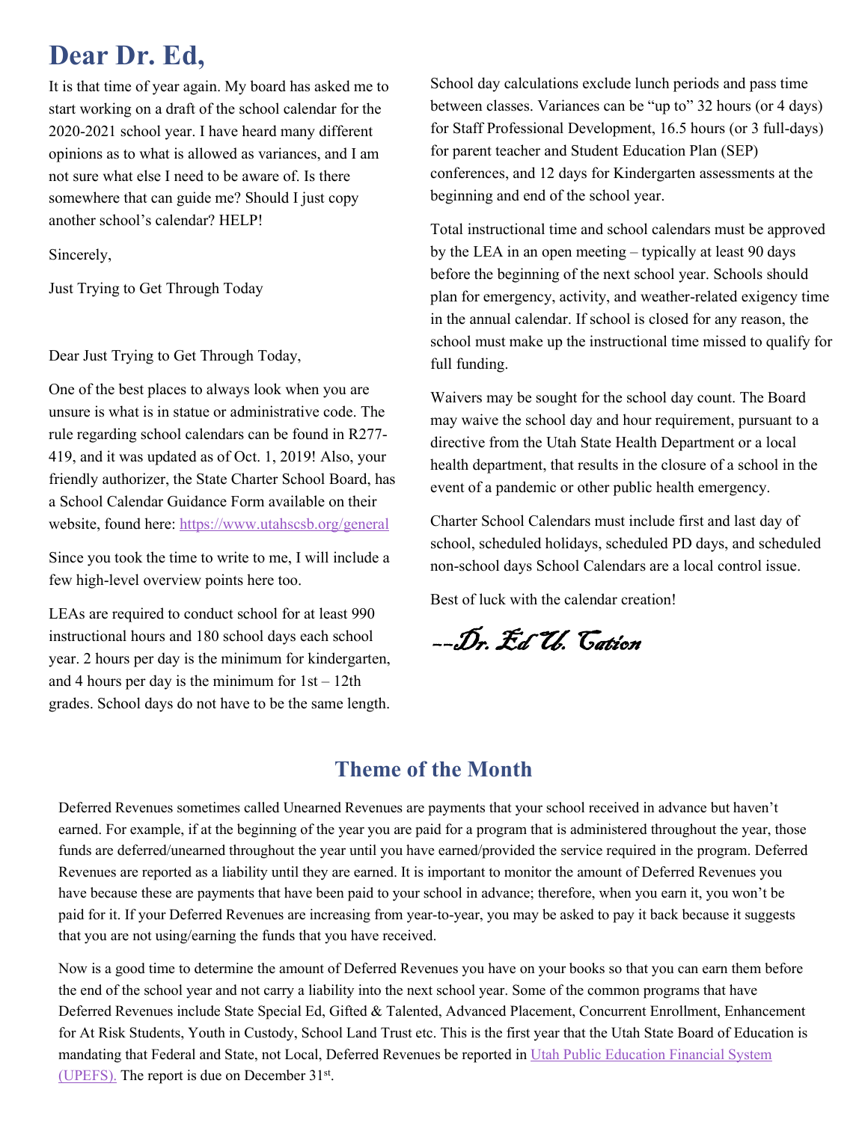# <span id="page-1-0"></span>**Dear Dr. Ed,**

It is that time of year again. My board has asked me to start working on a draft of the school calendar for the 2020-2021 school year. I have heard many different opinions as to what is allowed as variances, and I am not sure what else I need to be aware of. Is there somewhere that can guide me? Should I just copy another school's calendar? HELP!

Sincerely,

Just Trying to Get Through Today

Dear Just Trying to Get Through Today,

One of the best places to always look when you are unsure is what is in statue or administrative code. The rule regarding school calendars can be found in R277- 419, and it was updated as of Oct. 1, 2019! Also, your friendly authorizer, the State Charter School Board, has a School Calendar Guidance Form available on their website, found here[: https://www.utahscsb.org/general](https://www.utahscsb.org/general)

Since you took the time to write to me, I will include a few high-level overview points here too.

LEAs are required to conduct school for at least 990 instructional hours and 180 school days each school year. 2 hours per day is the minimum for kindergarten, and 4 hours per day is the minimum for  $1st - 12th$ grades. School days do not have to be the same length. School day calculations exclude lunch periods and pass time between classes. Variances can be "up to" 32 hours (or 4 days) for Staff Professional Development, 16.5 hours (or 3 full-days) for parent teacher and Student Education Plan (SEP) conferences, and 12 days for Kindergarten assessments at the beginning and end of the school year.

Total instructional time and school calendars must be approved by the LEA in an open meeting – typically at least 90 days before the beginning of the next school year. Schools should plan for emergency, activity, and weather-related exigency time in the annual calendar. If school is closed for any reason, the school must make up the instructional time missed to qualify for full funding.

Waivers may be sought for the school day count. The Board may waive the school day and hour requirement, pursuant to a directive from the Utah State Health Department or a local health department, that results in the closure of a school in the event of a pandemic or other public health emergency.

Charter School Calendars must include first and last day of school, scheduled holidays, scheduled PD days, and scheduled non-school days School Calendars are a local control issue.

Best of luck with the calendar creation!

––Dr. Ed U. Cation

### **Theme of the Month**

Deferred Revenues sometimes called Unearned Revenues are payments that your school received in advance but haven't earned. For example, if at the beginning of the year you are paid for a program that is administered throughout the year, those funds are deferred/unearned throughout the year until you have earned/provided the service required in the program. Deferred Revenues are reported as a liability until they are earned. It is important to monitor the amount of Deferred Revenues you have because these are payments that have been paid to your school in advance; therefore, when you earn it, you won't be paid for it. If your Deferred Revenues are increasing from year-to-year, you may be asked to pay it back because it suggests that you are not using/earning the funds that you have received.

mandating that Federal and State, not Local, Deferred Revenues be reported in Utah Public Education Financial System Now is a good time to determine the amount of Deferred Revenues you have on your books so that you can earn them before the end of the school year and not carry a liability into the next school year. Some of the common programs that have Deferred Revenues include State Special Ed, Gifted & Talented, Advanced Placement, Concurrent Enrollment, Enhancement for At Risk Students, Youth in Custody, School Land Trust etc. This is the first year that the Utah State Board of Education is [\(UPEFS\).](https://upefs.schools.utah.gov/) The report is due on December 31st.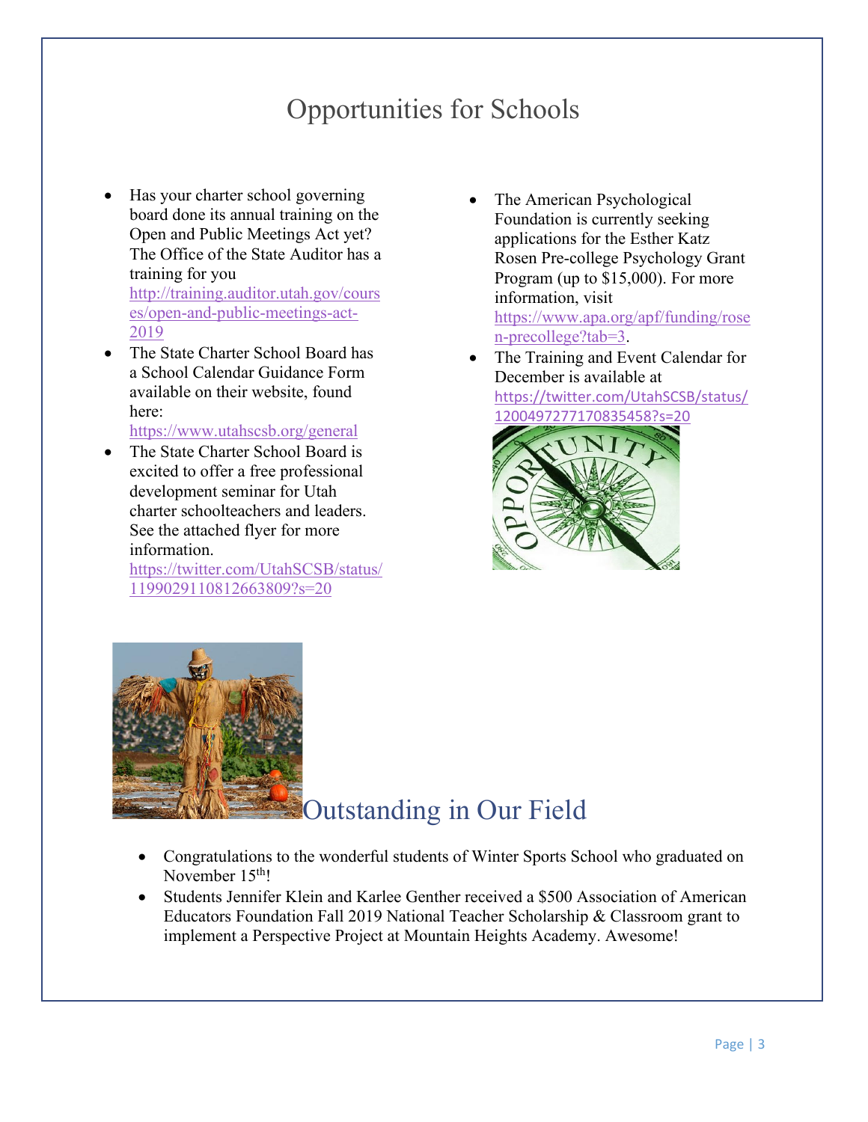# Opportunities for Schools

- <span id="page-2-0"></span>• Has your charter school governing board done its annual training on the Open and Public Meetings Act yet? The Office of the State Auditor has a training for you [http://training.auditor.utah.gov/cours](http://training.auditor.utah.gov/courses/open-and-public-meetings-act-2019) [es/open-and-public-meetings-act-](http://training.auditor.utah.gov/courses/open-and-public-meetings-act-2019)[2019](http://training.auditor.utah.gov/courses/open-and-public-meetings-act-2019)
- The State Charter School Board has a School Calendar Guidance Form available on their website, found here:

<https://www.utahscsb.org/general>

• The State Charter School Board is excited to offer a free professional development seminar for Utah charter schoolteachers and leaders. See the attached flyer for more information.

<span id="page-2-1"></span>[https://twitter.com/UtahSCSB/status/](https://twitter.com/UtahSCSB/status/1199029110812663809?s=20) [1199029110812663809?s=20](https://twitter.com/UtahSCSB/status/1199029110812663809?s=20) 

The American Psychological Foundation is currently seeking applications for the Esther Katz Rosen Pre-college Psychology Grant Program (up to \$15,000). For more information, visit [https://www.apa.org/apf/funding/rose](https://www.apa.org/apf/funding/rosen-precollege?tab=3)

[n-precollege?tab=3.](https://www.apa.org/apf/funding/rosen-precollege?tab=3)

The Training and Event Calendar for December is available at [https://twitter.com/UtahSCSB/status/](https://twitter.com/UtahSCSB/status/1200497277170835458?s=20)





## Outstanding in Our Field

- Congratulations to the wonderful students of Winter Sports School who graduated on November 15<sup>th</sup>!
- Students Jennifer Klein and Karlee Genther received a \$500 Association of American Educators Foundation Fall 2019 National Teacher Scholarship & Classroom grant to implement a Perspective Project at Mountain Heights Academy. Awesome!